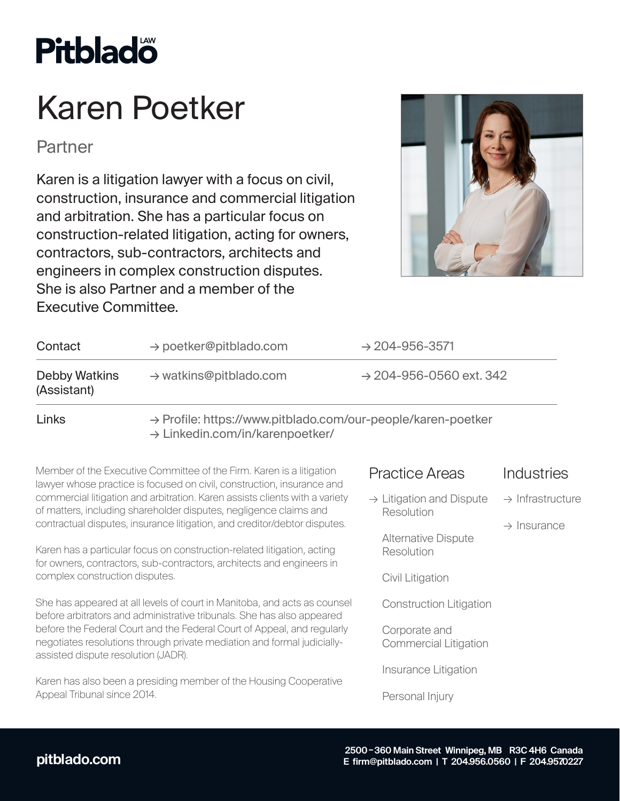

## Karen Poetker

Partner

Karen is a litigation lawyer with a focus on civil, construction, insurance and commercial litigation and arbitration. She has a particular focus on construction-related litigation, acting for owners, contractors, sub-contractors, architects and engineers in complex construction disputes. She is also Partner and a member of the Executive Committee.



| Contact                      | $\rightarrow$ poetker@pitblado.com                                                                          | $\rightarrow$ 204-956-3571          |
|------------------------------|-------------------------------------------------------------------------------------------------------------|-------------------------------------|
| Debby Watkins<br>(Assistant) | $\rightarrow$ watkins@pitblado.com                                                                          | $\rightarrow$ 204-956-0560 ext. 342 |
| Links                        | → Profile: https://www.pitblado.com/our-people/karen-poetker<br>$\rightarrow$ Linkedin.com/in/karenpoetker/ |                                     |

Member of the Executive Committee of the Firm. Karen is a litigation lawyer whose practice is focused on civil, construction, insurance and commercial litigation and arbitration. Karen assists clients with a variety of matters, including shareholder disputes, negligence claims and contractual disputes, insurance litigation, and creditor/debtor disputes.

Karen has a particular focus on construction-related litigation, acting for owners, contractors, sub-contractors, architects and engineers in complex construction disputes.

She has appeared at all levels of court in Manitoba, and acts as counsel before arbitrators and administrative tribunals. She has also appeared before the Federal Court and the Federal Court of Appeal, and regularly negotiates resolutions through private mediation and formal judiciallyassisted dispute resolution (JADR).

Karen has also been a presiding member of the Housing Cooperative Appeal Tribunal since 2014.

#### Practice Areas

#### **Industries**

- $\rightarrow$  Litigation and Dispute **Resolution**
- $\rightarrow$  Infrastructure
- 
- $\rightarrow$  Insurance

Alternative Dispute Resolution

**Civil Litigation** 

Construction Litigation

Corporate and Commercial Litigation

 Insurance Litigation

Personal Injury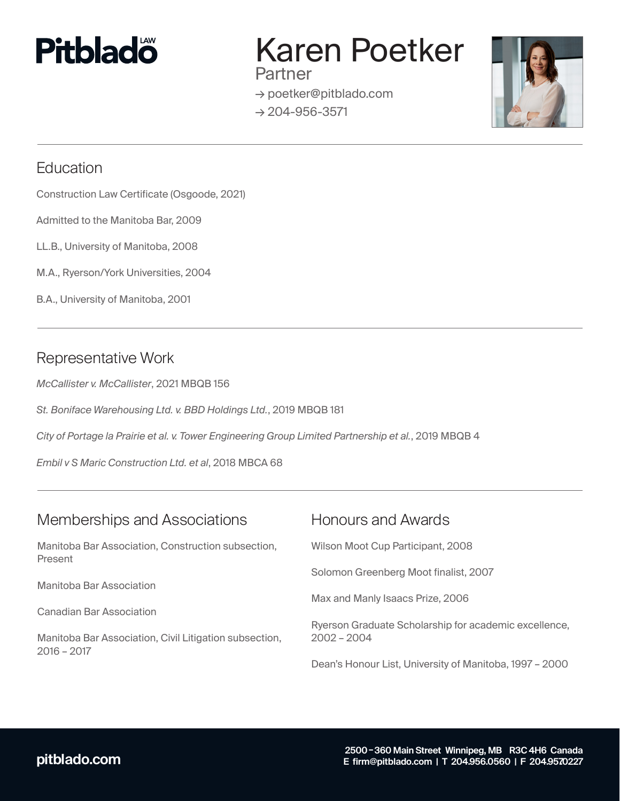

### Karen Poetker

**Partner** → poetker@pitblado.com  $\rightarrow$  204-956-3571



#### **Education**

Construction Law Certificate (Osgoode, 2021)

- Admitted to the Manitoba Bar, 2009
- LL.B., University of Manitoba, 2008
- M.A., Ryerson/York Universities, 2004
- B.A., University of Manitoba, 2001

#### Representative Work

*McCallister v. McCallister*, 2021 MBQB 156

*St. Boniface Warehousing Ltd. v. BBD Holdings Ltd.*, 2019 MBQB 181

*City of Portage la Prairie et al. v. Tower Engineering Group Limited Partnership et al.*, 2019 MBQB 4

*Embil v S Maric Construction Ltd. et al*, 2018 MBCA 68

| Memberships and Associations                                            | <b>Honours and Awards</b>                               |
|-------------------------------------------------------------------------|---------------------------------------------------------|
| Manitoba Bar Association, Construction subsection,<br>Present           | Wilson Moot Cup Participant, 2008                       |
| Manitoba Bar Association                                                | Solomon Greenberg Moot finalist, 2007                   |
|                                                                         | Max and Manly Isaacs Prize, 2006                        |
| Canadian Bar Association                                                | Ryerson Graduate Scholarship for academic excellence,   |
| Manitoba Bar Association, Civil Litigation subsection,<br>$2016 - 2017$ | $2002 - 2004$                                           |
|                                                                         | Dean's Honour List, University of Manitoba, 1997 - 2000 |